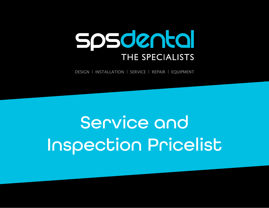# spsdental THE SPECIALISTS

DESIGN | INSTALLATION | SERVICE | REPAIR | EQUIPMENT

# Service and Inspection Pricelist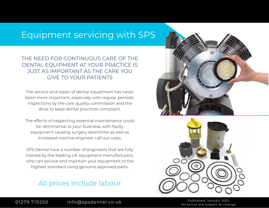#### Equipment servicing with SPS

#### THE NEED FOR CONTINUOUS CARE OF THE DENTAL EQUIPMENT AT YOUR PRACTICE IS JUST AS IMPORTANT AS THE CARE YOU GIVE TO YOUR PATIENTS

The service and repair of dental equipment has never been more important, especially with regular periodic inspections by the care quality commission and the drive to keep dental practices compliant.

The effects of neglecting essential maintenance could be detrimental to your business, with faulty equipment causing surgery downtime as well as increased reactive engineer call out costs.

SPS Dental have a number of engineers that are fully trained by the leading UK equipment manufacturers, who can service and maintain your equipment to the highest standard using genuine approved parts.

#### All prices include labour





All prices are subject to change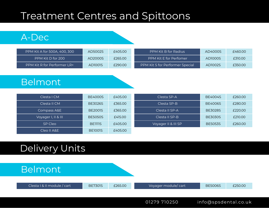## Treatment Centres and Spittoons

#### A-Dec

| PPM Kit A for 500A, 400, 300 | AD5002S | £405.00 | PPM Kit B for Radius            | AD4000S | £460.00 |
|------------------------------|---------|---------|---------------------------------|---------|---------|
| PPM Kit D for 200            | AD2000S | £265.00 | PPM Kit E for Perfomer          | AD1000S | £310.00 |
| PPM Kit R for Performer LR+  | AD1001S | £290.00 | PPM Kit S for Performer Special | AD1002S | £350.00 |

#### Belmont

| Clesta I CM         | <b>BE4000S</b> | £405.00 | Clesta SP-A         | <b>BE4004S</b> | £260.00 |
|---------------------|----------------|---------|---------------------|----------------|---------|
| Clesta II CM        | <b>BE3026S</b> | £365.00 | Clesta SP-B         | <b>BE4006S</b> | £280.00 |
| Compass A&E         | <b>BE2001S</b> | £365.00 | Clesta II SP-A      | <b>BE3028S</b> | £220.00 |
| Voyager I, II & III | <b>BE5050S</b> | £415.00 | Clesta II SP-B      | <b>BE3030S</b> | £210.00 |
| SP Cleo             | <b>BE1111S</b> | £405.00 | Voyager II & III SP | <b>BE5053S</b> | £260.00 |
| ICleo II A&E '      | <b>BE1001S</b> | £405.00 |                     |                |         |

### Delivery Units

#### Belmont

|  |  | Clesta   & II module / cart |  |
|--|--|-----------------------------|--|
|--|--|-----------------------------|--|

Clesta I & II module / cart BE7301S £265.00 Voyager module/ cart BE5006S £250.00

01279 710250 info@spsdental.co.uk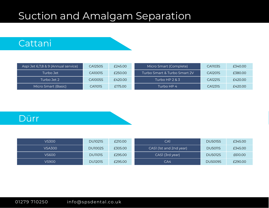## Suction and Amalgam Separation

#### Cattani

| Aspi Jet 6,7,8 & 9 (Annual service) | CA1250S | £245.00 | Micro Smart (Complete)       | CA1103S | £340.00 |
|-------------------------------------|---------|---------|------------------------------|---------|---------|
| Turbo Jet                           | CA1001S | £250.00 | Turbo Smart & Turbo Smart 2V | CA1201S | £380.00 |
| Turbo Jet 2 .                       | CA1005S | £420.00 | Turbo HP $2 & 3$             | CA1221S | £420.00 |
| Micro Smart (Basic)                 | CA1101S | £175.00 | Turbo HP 4                   | CA1231S | £420.00 |

#### Dürr

| <b>VS300</b>  | <b>DU1021S</b> | £210.00 | CA1                     | <b>DU5015S</b> | £345.00 |
|---------------|----------------|---------|-------------------------|----------------|---------|
| <b>VSA300</b> | <b>DU1002S</b> | £305.00 | CASI (1st and 2nd year) | <b>DU5011S</b> | £345.00 |
| VS600.        | DUII01S        | £295.00 | CASI (3rd year)         | <b>DU5012S</b> | £610.00 |
| VS900         | <b>DU1201S</b> | £295.00 | CA4                     | <b>DU5009S</b> | £290.00 |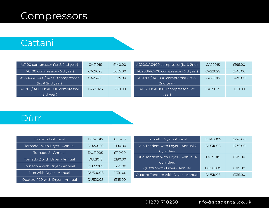## Compressors

### Cattani

| AC100 compressor (1st & 2nd year) | CA2101S | £140.00 | AC200/AC400 compressor(1st & 2nd) | CA2201S | £195.00   |
|-----------------------------------|---------|---------|-----------------------------------|---------|-----------|
| AC100 compressor (3rd year)       | CA2102S | £655.00 | AC200/AC400 compressor (3rd year) | CA2202S | £745.00   |
| AC300/ AC600/ AC900 compressor    | CA2301S | £235.00 | AC1200/AC1800 compressor (1st &   | CA2501S | £430.00   |
| (1st & 2nd year)                  |         |         | 2nd year)                         |         |           |
| AC300/AC600/AC900 compressor      | CA2302S | £810.00 | AC1200/AC1800 compressor (3rd)    | CA2502S | £1,550.00 |
| (3rd year)                        |         |         | year)                             |         |           |

#### Dürr

| Tornado 1 - Annual              | <b>DU2001S</b> | £110.00 | Trio with Dryer - Annual           | <b>DU4000S</b> | £270.00 |
|---------------------------------|----------------|---------|------------------------------------|----------------|---------|
| Tornado 1 with Dryer - Annual   | <b>DU2002S</b> | £190.00 | Duo Tandem with Dryer - Annual 2   | <b>DU3100S</b> | £230.00 |
| Tornado 2 - Annual              | <b>DU2100S</b> | £110.00 | <b>Cylinders</b>                   |                |         |
|                                 |                |         |                                    |                |         |
| Tornado 2 with Dryer - Annual   | <b>DU2101S</b> | £190.00 | Duo Tandem with Dryer - Annual 4   | <b>DU3101S</b> | £315.00 |
|                                 |                |         | Cylinders                          |                |         |
| Tornado 4 with Dryer - Annual   | <b>DU2200S</b> | £225.00 |                                    |                |         |
|                                 |                |         | Quattro with Dryer - Annual        | <b>DU5000S</b> | £315.00 |
|                                 |                |         |                                    |                |         |
| Duo with Dryer - Annual         | <b>DU3000S</b> | £230.00 | Quattro Tandem with Dryer - Annual | <b>DU5100S</b> | £315.00 |
|                                 |                |         |                                    |                |         |
| Quattro P20 with Dryer - Annual | <b>DU5200S</b> | £315.00 |                                    |                |         |

#### 01279 710250 info@spsdental.co.uk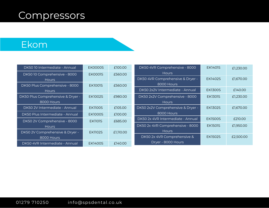## Compressors

#### Ekom

| DK50 10 Intermediate - Annual     | <b>EK0000S</b> | £100.00   | DK50 4VR Comprehensive - 8000     | EK1401S        | £1,230.00 |
|-----------------------------------|----------------|-----------|-----------------------------------|----------------|-----------|
| DK5010 Comprehensive - 8000       | <b>EK0001S</b> | £560.00   | <b>Hours</b>                      |                |           |
| <b>Hours</b>                      |                |           | DK50 4VR Comprehensive & Dryer -  | EK1402S        | £1,670.00 |
| DK50 Plus Comprehensive - 8000    | EK1001S        | £560.00   | 8000 Hours                        |                |           |
| <b>Hours</b>                      |                |           | DK50 2x2V Intermediate - Annual   | <b>EK1300S</b> | £140.00   |
| DK50 Plus Comprehensive & Dryer - | EK1002S        | £980.00   | DK50 2x2V Comprehensive - 8000    | <b>EK1301S</b> | £1,230.00 |
| 8000 Hours                        |                |           | Hours                             |                |           |
| DK50 2V Intermediate - Annual     | <b>EK1100S</b> | £105.00   | DK50 2x2V Comprehensive & Dryer - | <b>EK1302S</b> | £1,670.00 |
| DK50 Plus Intermediate - Annual   | <b>EK1000S</b> | £100.00   | 8000 Hours                        |                |           |
| DK50 2V Comprehensive - 8000      | <b>EK1101S</b> | £685.00   | DK50 2x 4VR Intermediate - Annual | <b>EK1500S</b> | £210.00   |
| <b>Hours</b>                      |                |           | DK50 2x 4VR Comprehensive - 8000  | <b>EK1501S</b> | £1,950.00 |
| DK50 2V Comprehensive & Dryer -   | EK1102S        | £1,110.00 | <b>Hours</b>                      |                |           |
| 8000 Hours                        |                |           | DK50 2x 4VR Comprehensive &       | EK1502S        | £2,500.00 |
| DK50 4VR Intermediate - Annual    | EK1400S        | £140.00   | Dryer - 8000 Hours                |                |           |